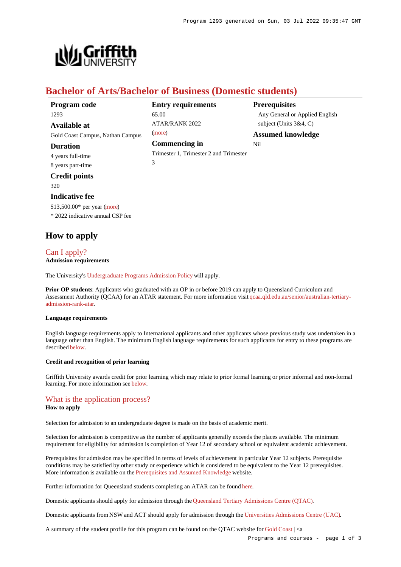

# **Bachelor of Arts/Bachelor of Business (Domestic students)**

| Program code                     | <b>Entry requirements</b>              | <b>Prerequisites</b>           |
|----------------------------------|----------------------------------------|--------------------------------|
| 1293                             | 65.00                                  | Any General or Applied English |
| Available at                     | <b>ATAR/RANK 2022</b>                  | subject (Units $3&4, C$ )      |
| Gold Coast Campus, Nathan Campus | (more)                                 | <b>Assumed knowledge</b>       |
| <b>Duration</b>                  | Commencing in                          | Nil                            |
| 4 years full-time                | Trimester 1, Trimester 2 and Trimester |                                |
| 8 years part-time                | 3                                      |                                |

**Credit points** 320

### **Indicative fee**

\$13,500.00\* per year [\(more](https://www148.griffith.edu.au/programs-courses/Program/1293/Overview/Domestic#fees)) \* 2022 indicative annual CSP fee

# **How to apply**

### [Can I apply?](https://www148.griffith.edu.au/programs-courses/Program/1293/HowToApply/Domestic#can-i-apply) **Admission requirements**

The University's [Undergraduate Programs Admission Policy](https://sharepointpubstor.blob.core.windows.net/policylibrary-prod/Undergraduate Programs Admission Policy.pdf) will apply.

**Prior OP students**: Applicants who graduated with an OP in or before 2019 can apply to Queensland Curriculum and Assessment Authority (QCAA) for an ATAR statement. For more information visit [qcaa.qld.edu.au/senior/australian-tertiary](http://qcaa.qld.edu.au/senior/australian-tertiary-admission-rank-atar)[admission-rank-atar](http://qcaa.qld.edu.au/senior/australian-tertiary-admission-rank-atar).

### **Language requirements**

English language requirements apply to International applicants and other applicants whose previous study was undertaken in a language other than English. The minimum English language requirements for such applicants for entry to these programs are described [below](https://www148.griffith.edu.au/programs-courses/Program/1293/HowToApply/Domestic#language).

### **Credit and recognition of prior learning**

Griffith University awards credit for prior learning which may relate to prior formal learning or prior informal and non-formal learning. For more information see [below](https://www148.griffith.edu.au/programs-courses/Program/1293/HowToApply/Domestic#credit).

### [What is the application process?](https://www148.griffith.edu.au/programs-courses/Program/1293/HowToApply/Domestic#process)

### **How to apply**

Selection for admission to an undergraduate degree is made on the basis of academic merit.

Selection for admission is competitive as the number of applicants generally exceeds the places available. The minimum requirement for eligibility for admission is completion of Year 12 of secondary school or equivalent academic achievement.

Prerequisites for admission may be specified in terms of levels of achievement in particular Year 12 subjects. Prerequisite conditions may be satisfied by other study or experience which is considered to be equivalent to the Year 12 prerequisites. More information is available on the [Prerequisites and Assumed Knowledge](https://www.griffith.edu.au/apply/prerequisites-assumed-knowledge) website.

Further information for Queensland students completing an ATAR can be found [here](https://www.griffith.edu.au/apply/undergraduate-study/high-school-students/admission-in-2021).

Domestic applicants should apply for admission through the [Queensland Tertiary Admissions Centre \(QTAC\)](http://www.qtac.edu.au/).

Domestic applicants from NSW and ACT should apply for admission through the [Universities Admissions Centre \(UAC\)](http://www.uac.edu.au/).

A summary of the student profile for this program can be found on the QTAC website for [Gold Coast](https://www.qtac.edu.au/courses/listing/bachelor-of-arts-bachelor-of-business-232431/) | <a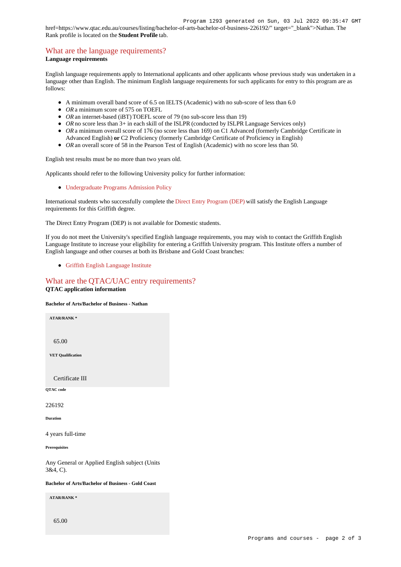href=https://www.qtac.edu.au/courses/listing/bachelor-of-arts-bachelor-of-business-226192/" target="\_blank">Nathan. The Rank profile is located on the **Student Profile** tab.

# [What are the language requirements?](https://www148.griffith.edu.au/programs-courses/Program/1293/HowToApply/Domestic#language)

## **Language requirements**

English language requirements apply to International applicants and other applicants whose previous study was undertaken in a language other than English. The minimum English language requirements for such applicants for entry to this program are as follows:

- A minimum overall band score of 6.5 on IELTS (Academic) with no sub-score of less than 6.0
- OR a minimum score of 575 on TOEFL
- *OR* an internet-based (iBT) TOEFL score of 79 (no sub-score less than 19)
- OR no score less than 3+ in each skill of the ISLPR (conducted by ISLPR Language Services only)
- OR a minimum overall score of 176 (no score less than 169) on C1 Advanced (formerly Cambridge Certificate in Advanced English) **or** C2 Proficiency (formerly Cambridge Certificate of Proficiency in English)
- *OR* an overall score of 58 in the Pearson Test of English (Academic) with no score less than 50.

English test results must be no more than two years old.

Applicants should refer to the following University policy for further information:

[Undergraduate Programs Admission Policy](http://policies.griffith.edu.au/pdf/Undergraduate Programs Admission Policy.pdf)

International students who successfully complete the [Direct Entry Program \(DEP\)](https://www.griffith.edu.au/international/griffith-english-language-institute/courses/direct-entry-program) will satisfy the English Language requirements for this Griffith degree.

The Direct Entry Program (DEP) is not available for Domestic students.

If you do not meet the University's specified English language requirements, you may wish to contact the Griffith English Language Institute to increase your eligibility for entering a Griffith University program. This Institute offers a number of English language and other courses at both its Brisbane and Gold Coast branches:

[Griffith English Language Institute](https://www.griffith.edu.au/international/griffith-english-language-institute)

## [What are the QTAC/UAC entry requirements?](https://www148.griffith.edu.au/programs-courses/Program/1293/HowToApply/Domestic#tac-entry-requirements) **QTAC application information**

#### **Bachelor of Arts/Bachelor of Business - Nathan**

**ATAR/RANK \***

65.00

**VET Qualification**

Certificate III

**QTAC code**

226192

**Duration**

4 years full-time

**Prerequisites**

Any General or Applied English subject (Units 3&4, C).

**Bachelor of Arts/Bachelor of Business - Gold Coast**

**ATAR/RANK \***

65.00